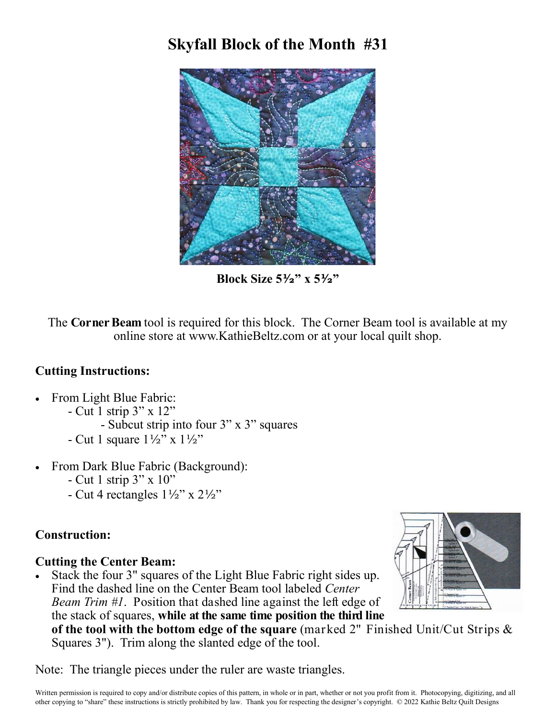## **Skyfall Block of the Month #31**



**Block Size 5½" x 5½"**

The **Corner Beam** tool is required for this block. The Corner Beam tool is available at my online store at www.KathieBeltz.com or at your local quilt shop.

#### **Cutting Instructions:**

- From Light Blue Fabric:
	- Cut 1 strip 3" x 12"
		- Subcut strip into four 3" x 3" squares
	- Cut 1 square  $1\frac{1}{2}$ " x  $1\frac{1}{2}$ "
- From Dark Blue Fabric (Background):
	- Cut 1 strip 3" x 10"
	- Cut 4 rectangles  $1\frac{1}{2}$ " x  $2\frac{1}{2}$ "

#### **Construction:**

### **Cutting the Center Beam:**

 Stack the four 3" squares of the Light Blue Fabric right sides up. Find the dashed line on the Center Beam tool labeled *Center Beam Trim #1*. Position that dashed line against the left edge of the stack of squares, **while at the same time position the third line of the tool with the bottom edge of the square** (marked 2" Finished Unit/Cut Strips & Squares 3"). Trim along the slanted edge of the tool.

Note: The triangle pieces under the ruler are waste triangles.

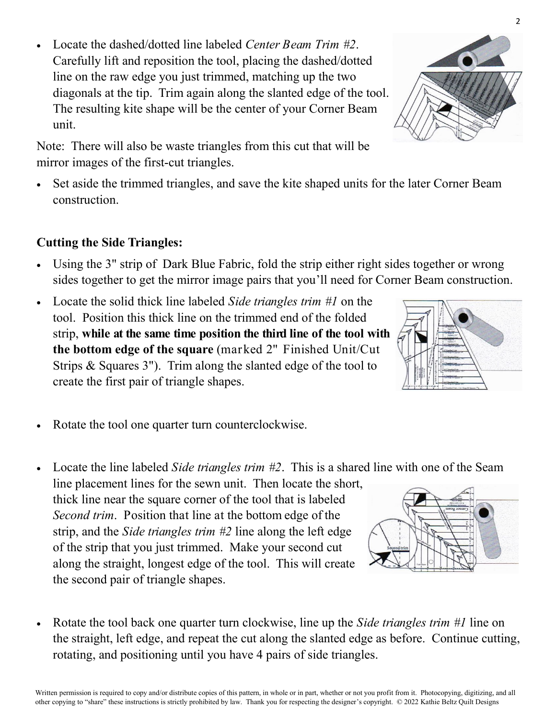Locate the dashed/dotted line labeled *Center Beam Trim #2*. Carefully lift and reposition the tool, placing the dashed/dotted line on the raw edge you just trimmed, matching up the two diagonals at the tip. Trim again along the slanted edge of the tool. The resulting kite shape will be the center of your Corner Beam unit.

Note: There will also be waste triangles from this cut that will be mirror images of the first-cut triangles.

 Set aside the trimmed triangles, and save the kite shaped units for the later Corner Beam construction.

#### **Cutting the Side Triangles:**

- Using the 3" strip of Dark Blue Fabric, fold the strip either right sides together or wrong sides together to get the mirror image pairs that you'll need for Corner Beam construction.
- Locate the solid thick line labeled *Side triangles trim #1* on the tool. Position this thick line on the trimmed end of the folded strip, **while at the same time position the third line of the tool with the bottom edge of the square** (marked 2" Finished Unit/Cut Strips & Squares 3"). Trim along the slanted edge of the tool to create the first pair of triangle shapes.
- Rotate the tool one quarter turn counterclockwise.
- Locate the line labeled *Side triangles trim #2*. This is a shared line with one of the Seam line placement lines for the sewn unit. Then locate the short, thick line near the square corner of the tool that is labeled *Second trim*. Position that line at the bottom edge of the strip, and the *Side triangles trim #2* line along the left edge of the strip that you just trimmed. Make your second cut along the straight, longest edge of the tool. This will create the second pair of triangle shapes.
- Rotate the tool back one quarter turn clockwise, line up the *Side triangles trim #1* line on the straight, left edge, and repeat the cut along the slanted edge as before. Continue cutting, rotating, and positioning until you have 4 pairs of side triangles.







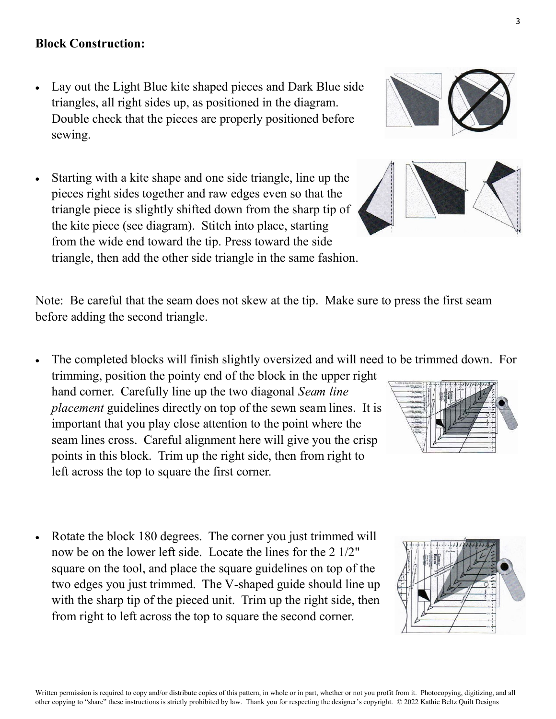#### Written permission is required to copy and/or distribute copies of this pattern, in whole or in part, whether or not you profit from it. Photocopying, digitizing, and all other copying to "share" these instructions is strictly prohibited by law. Thank you for respecting the designer's copyright. © 2022 Kathie Beltz Quilt Designs

#### **Block Construction:**

- Lay out the Light Blue kite shaped pieces and Dark Blue side triangles, all right sides up, as positioned in the diagram. Double check that the pieces are properly positioned before sewing.
- Starting with a kite shape and one side triangle, line up the pieces right sides together and raw edges even so that the triangle piece is slightly shifted down from the sharp tip of the kite piece (see diagram). Stitch into place, starting from the wide end toward the tip. Press toward the side triangle, then add the other side triangle in the same fashion.

Note: Be careful that the seam does not skew at the tip. Make sure to press the first seam before adding the second triangle.

- The completed blocks will finish slightly oversized and will need to be trimmed down. For trimming, position the pointy end of the block in the upper right hand corner. Carefully line up the two diagonal *Seam line placement* guidelines directly on top of the sewn seam lines. It is important that you play close attention to the point where the seam lines cross. Careful alignment here will give you the crisp points in this block. Trim up the right side, then from right to left across the top to square the first corner.
- Rotate the block 180 degrees. The corner you just trimmed will now be on the lower left side. Locate the lines for the 2 1/2" square on the tool, and place the square guidelines on top of the two edges you just trimmed. The V-shaped guide should line up with the sharp tip of the pieced unit. Trim up the right side, then from right to left across the top to square the second corner.